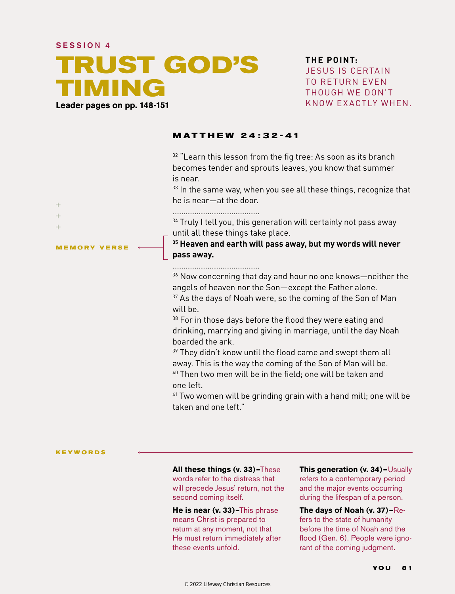### SESSION 4

# **TRUST GOD'S TIMING Leader pages on pp. 148-151**

**THE POINT:** JE SUS IS CERTAIN TO RETURN EVEN THOUGH WE DON'T KNOW EXACTLY WHEN.

## **MATTHEW 24 : 32-41**

 $32$  "Learn this lesson from the fig tree: As soon as its branch becomes tender and sprouts leaves, you know that summer is near.

 $33$  In the same way, when you see all these things, recognize that he is near—at the door.

 $\ddot{}$  $+$  $\perp$ 

**MEMORY VERSE**

........................................

 $34$  Truly I tell you, this generation will certainly not pass away until all these things take place.

**35 Heaven and earth will pass away, but my words will never pass away.**

#### ........................................

36 Now concerning that day and hour no one knows—neither the angels of heaven nor the Son—except the Father alone. <sup>37</sup> As the days of Noah were, so the coming of the Son of Man

will be.

<sup>38</sup> For in those days before the flood they were eating and drinking, marrying and giving in marriage, until the day Noah boarded the ark.

 $39$  They didn't know until the flood came and swept them all away. This is the way the coming of the Son of Man will be. <sup>40</sup> Then two men will be in the field: one will be taken and one left.

<sup>41</sup> Two women will be grinding grain with a hand mill; one will be taken and one left."

#### **KEYWORDS**

**All these things (v. 33)–**These

words refer to the distress that will precede Jesus' return, not the second coming itself.

**He is near (v. 33)–**This phrase means Christ is prepared to return at any moment, not that He must return immediately after these events unfold.

**This generation (v. 34)—**Usually refers to a contemporary period and the major events occurring during the lifespan of a person.

**The days of Noah (v. 37)—**Refers to the state of humanity before the time of Noah and the flood (Gen. 6). People were ignorant of the coming judgment.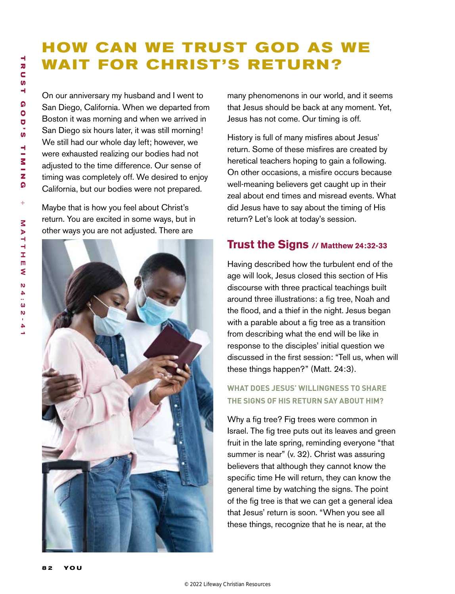# **HOW CAN WE TRUST GOD AS WE WAIT FOR CHRIST'S RETURN?**

On our anniversary my husband and I went to San Diego, California. When we departed from Boston it was morning and when we arrived in San Diego six hours later, it was still morning! We still had our whole day left; however, we were exhausted realizing our bodies had not adjusted to the time difference. Our sense of timing was completely off. We desired to enjoy California, but our bodies were not prepared.

Maybe that is how you feel about Christ's return. You are excited in some ways, but in other ways you are not adjusted. There are



many phenomenons in our world, and it seems that Jesus should be back at any moment. Yet, Jesus has not come. Our timing is off.

History is full of many misfires about Jesus' return. Some of these misfires are created by heretical teachers hoping to gain a following. On other occasions, a misfire occurs because well-meaning believers get caught up in their zeal about end times and misread events. What did Jesus have to say about the timing of His return? Let's look at today's session.

## **Trust the Signs // Matthew 24:32-33**

Having described how the turbulent end of the age will look, Jesus closed this section of His discourse with three practical teachings built around three illustrations: a fig tree, Noah and the flood, and a thief in the night. Jesus began with a parable about a fig tree as a transition from describing what the end will be like in response to the disciples' initial question we discussed in the first session: "Tell us, when will these things happen?" (Matt. 24:3).

## **WHAT DOES JESUS' WILLINGNESS TO SHARE THE SIGNS OF HIS RETURN SAY ABOUT HIM?**

Why a fig tree? Fig trees were common in Israel. The fig tree puts out its leaves and green fruit in the late spring, reminding everyone "that summer is near" (v. 32). Christ was assuring believers that although they cannot know the specific time He will return, they can know the general time by watching the signs. The point of the fig tree is that we can get a general idea that Jesus' return is soon. "When you see all these things, recognize that he is near, at the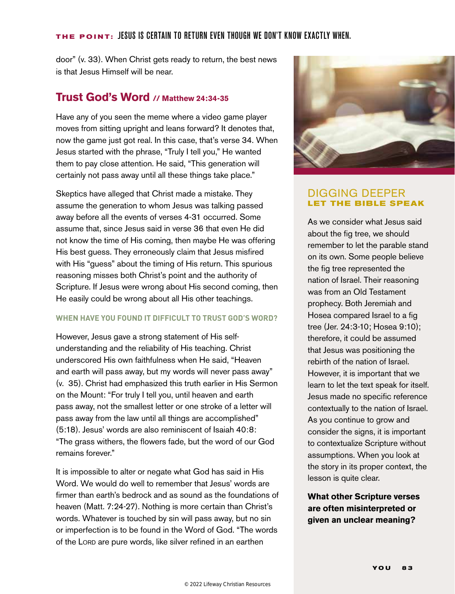## **THE POINT:** Jesus is certain to return even though we don't know exactly when.

door" (v. 33). When Christ gets ready to return, the best news is that Jesus Himself will be near.

## **Trust God's Word // Matthew 24:34-35**

Have any of you seen the meme where a video game player moves from sitting upright and leans forward? It denotes that, now the game just got real. In this case, that's verse 34. When Jesus started with the phrase, "Truly I tell you," He wanted them to pay close attention. He said, "This generation will certainly not pass away until all these things take place."

Skeptics have alleged that Christ made a mistake. They assume the generation to whom Jesus was talking passed away before all the events of verses 4-31 occurred. Some assume that, since Jesus said in verse 36 that even He did not know the time of His coming, then maybe He was offering His best guess. They erroneously claim that Jesus misfired with His "guess" about the timing of His return. This spurious reasoning misses both Christ's point and the authority of Scripture. If Jesus were wrong about His second coming, then He easily could be wrong about all His other teachings.

## **WHEN HAVE YOU FOUND IT DIFFICULT TO TRUST GOD'S WORD?**

However, Jesus gave a strong statement of His selfunderstanding and the reliability of His teaching. Christ underscored His own faithfulness when He said, "Heaven and earth will pass away, but my words will never pass away" (v. 35). Christ had emphasized this truth earlier in His Sermon on the Mount: "For truly I tell you, until heaven and earth pass away, not the smallest letter or one stroke of a letter will pass away from the law until all things are accomplished" (5:18). Jesus' words are also reminiscent of Isaiah 40:8: "The grass withers, the flowers fade, but the word of our God remains forever."

It is impossible to alter or negate what God has said in His Word. We would do well to remember that Jesus' words are firmer than earth's bedrock and as sound as the foundations of heaven (Matt. 7:24-27). Nothing is more certain than Christ's words. Whatever is touched by sin will pass away, but no sin or imperfection is to be found in the Word of God. "The words of the Lorp are pure words, like silver refined in an earthen



## DIGGING DEEPER **LET THE BIBLE SPEAK**

As we consider what Jesus said about the fig tree, we should remember to let the parable stand on its own. Some people believe the fig tree represented the nation of Israel. Their reasoning was from an Old Testament prophecy. Both Jeremiah and Hosea compared Israel to a fig tree (Jer. 24:3-10; Hosea 9:10); therefore, it could be assumed that Jesus was positioning the rebirth of the nation of Israel. However, it is important that we learn to let the text speak for itself. Jesus made no specific reference contextually to the nation of Israel. As you continue to grow and consider the signs, it is important to contextualize Scripture without assumptions. When you look at the story in its proper context, the lesson is quite clear.

**What other Scripture verses are often misinterpreted or given an unclear meaning?**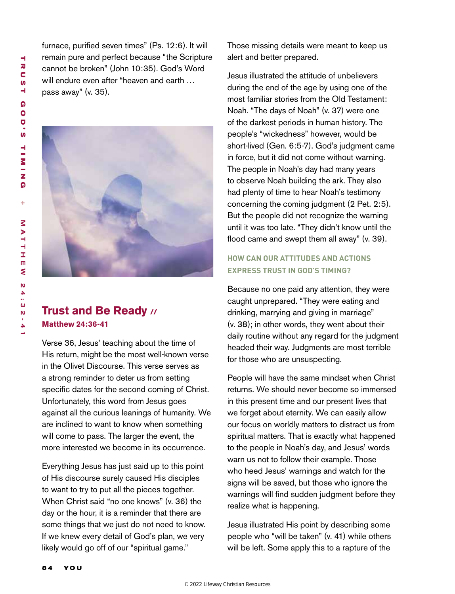furnace, purified seven times" (Ps. 12:6). It will remain pure and perfect because "the Scripture cannot be broken" (John 10:35). God's Word will endure even after "heaven and earth … pass away" (v. 35).



# **Trust and Be Ready // Matthew 24:36-41**

Verse 36, Jesus' teaching about the time of His return, might be the most well-known verse in the Olivet Discourse. This verse serves as a strong reminder to deter us from setting specific dates for the second coming of Christ. Unfortunately, this word from Jesus goes against all the curious leanings of humanity. We are inclined to want to know when something will come to pass. The larger the event, the more interested we become in its occurrence.

Everything Jesus has just said up to this point of His discourse surely caused His disciples to want to try to put all the pieces together. When Christ said "no one knows" (v. 36) the day or the hour, it is a reminder that there are some things that we just do not need to know. If we knew every detail of God's plan, we very likely would go off of our "spiritual game."

Those missing details were meant to keep us alert and better prepared.

Jesus illustrated the attitude of unbelievers during the end of the age by using one of the most familiar stories from the Old Testament: Noah. "The days of Noah" (v. 37) were one of the darkest periods in human history. The people's "wickedness" however, would be short-lived (Gen. 6:5-7). God's judgment came in force, but it did not come without warning. The people in Noah's day had many years to observe Noah building the ark. They also had plenty of time to hear Noah's testimony concerning the coming judgment (2 Pet. 2:5). But the people did not recognize the warning until it was too late. "They didn't know until the flood came and swept them all away" (v. 39).

## **HOW CAN OUR ATTITUDES AND ACTIONS EXPRESS TRUST IN GOD'S TIMING?**

Because no one paid any attention, they were caught unprepared. "They were eating and drinking, marrying and giving in marriage" (v. 38); in other words, they went about their daily routine without any regard for the judgment headed their way. Judgments are most terrible for those who are unsuspecting.

People will have the same mindset when Christ returns. We should never become so immersed in this present time and our present lives that we forget about eternity. We can easily allow our focus on worldly matters to distract us from spiritual matters. That is exactly what happened to the people in Noah's day, and Jesus' words warn us not to follow their example. Those who heed Jesus' warnings and watch for the signs will be saved, but those who ignore the warnings will find sudden judgment before they realize what is happening.

Jesus illustrated His point by describing some people who "will be taken" (v. 41) while others will be left. Some apply this to a rapture of the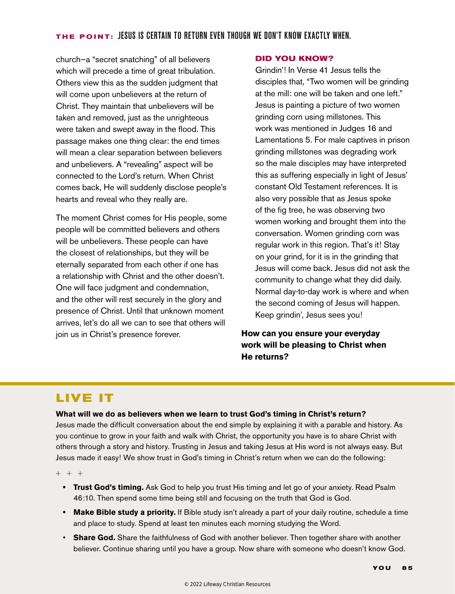church—a "secret snatching" of all believers which will precede a time of great tribulation. Others view this as the sudden judgment that will come upon unbelievers at the return of Christ. They maintain that unbelievers will be taken and removed, just as the unrighteous were taken and swept away in the flood. This passage makes one thing clear: the end times will mean a clear separation between believers and unbelievers. A "revealing" aspect will be connected to the Lord's return. When Christ comes back, He will suddenly disclose people's hearts and reveal who they really are.

The moment Christ comes for His people, some people will be committed believers and others will be unbelievers. These people can have the closest of relationships, but they will be eternally separated from each other if one has a relationship with Christ and the other doesn't. One will face judgment and condemnation, and the other will rest securely in the glory and presence of Christ. Until that unknown moment arrives, let's do all we can to see that others will join us in Christ's presence forever.

### **DID YOU KNOW?**

Grindin'! In Verse 41 Jesus tells the disciples that, "Two women will be grinding at the mill: one will be taken and one left." Jesus is painting a picture of two women grinding corn using millstones. This work was mentioned in Judges 16 and Lamentations 5. For male captives in prison grinding millstones was degrading work so the male disciples may have interpreted this as suffering especially in light of Jesus' constant Old Testament references. It is also very possible that as Jesus spoke of the fig tree, he was observing two women working and brought them into the conversation. Women grinding corn was regular work in this region. That's it! Stay on your grind, for it is in the grinding that Jesus will come back. Jesus did not ask the community to change what they did daily. Normal day-to-day work is where and when the second coming of Jesus will happen. Keep grindin', Jesus sees you!

## **How can you ensure your everyday work will be pleasing to Christ when He returns?**

# **LIVE IT**

## **What will we do as believers when we learn to trust God's timing in Christ's return?**

Jesus made the difficult conversation about the end simple by explaining it with a parable and history. As you continue to grow in your faith and walk with Christ, the opportunity you have is to share Christ with others through a story and history. Trusting in Jesus and taking Jesus at His word is not always easy. But Jesus made it easy! We show trust in God's timing in Christ's return when we can do the following:

#### $+ + +$

- **• Trust God's timing.** Ask God to help you trust His timing and let go of your anxiety. Read Psalm 46:10. Then spend some time being still and focusing on the truth that God is God.
- **• Make Bible study a priority.** If Bible study isn't already a part of your daily routine, schedule a time and place to study. Spend at least ten minutes each morning studying the Word.
- **Share God.** Share the faithfulness of God with another believer. Then together share with another believer. Continue sharing until you have a group. Now share with someone who doesn't know God.